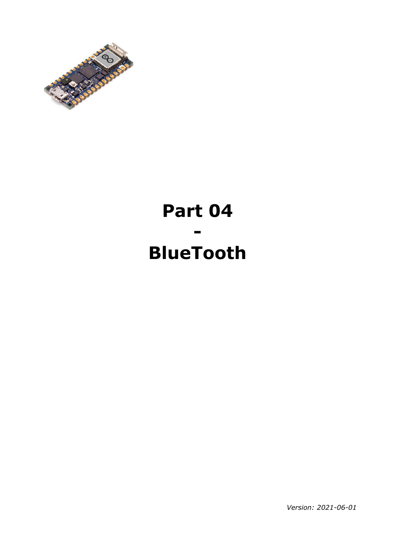

# **Part 04 - BlueTooth**

*Version: 2021-06-01*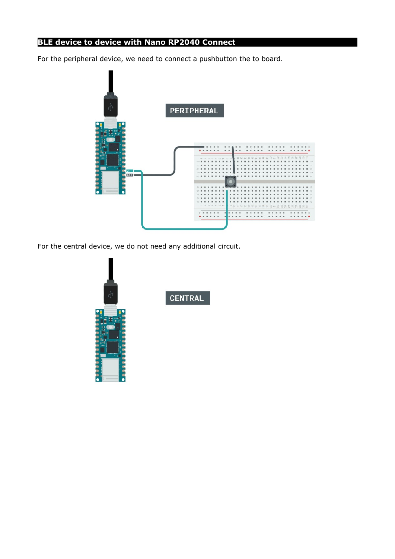# **BLE device to device with Nano RP2040 Connect**

For the peripheral device, we need to connect a pushbutton the to board.



For the central device, we do not need any additional circuit.



**CENTRAL**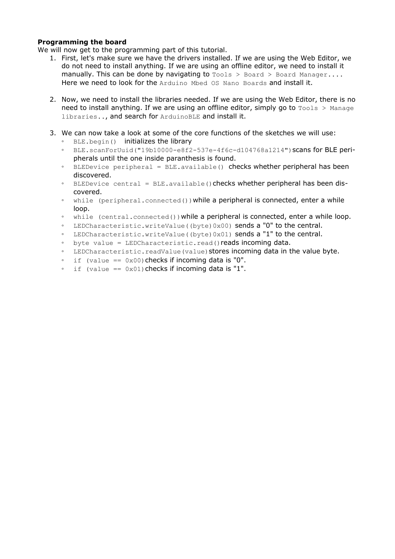## **Programming the board**

We will now get to the programming part of this tutorial.

- 1. First, let's make sure we have the drivers installed. If we are using the Web Editor, we do not need to install anything. If we are using an offline editor, we need to install it manually. This can be done by navigating to  $T = 1$  board > Board Manager.... Here we need to look for the Arduino Mbed OS Nano Boards and install it.
- 2. Now, we need to install the libraries needed. If we are using the Web Editor, there is no need to install anything. If we are using an offline editor, simply go to  $T_{\text{ools}} >$  Manage libraries.., and search for ArduinoBLE and install it.
- 3. We can now take a look at some of the core functions of the sketches we will use:
	- BLE.begin() initializes the library
	- BLE.scanForUuid("19b10000-e8f2-537e-4f6c-d104768a1214")scans for BLE peripherals until the one inside paranthesis is found.
	- BLEDevice peripheral = BLE.available() checks whether peripheral has been discovered.
	- BLEDevice central = BLE.available() checks whether peripheral has been discovered.
	- while (peripheral.connected())while a peripheral is connected, enter a while loop.
	- while (central.connected()) while a peripheral is connected, enter a while loop.
	- LEDCharacteristic.writeValue((byte)0x00) sends a "0" to the central.
	- LEDCharacteristic.writeValue((byte)0x01) sends a "1" to the central.
	- byte value = LEDCharacteristic.read()reads incoming data.
	- LEDCharacteristic.readValue(value)stores incoming data in the value byte.
	- $\degree$  if (value == 0x00) checks if incoming data is "0".
	- if (value ==  $0 \times 01$ ) checks if incoming data is "1".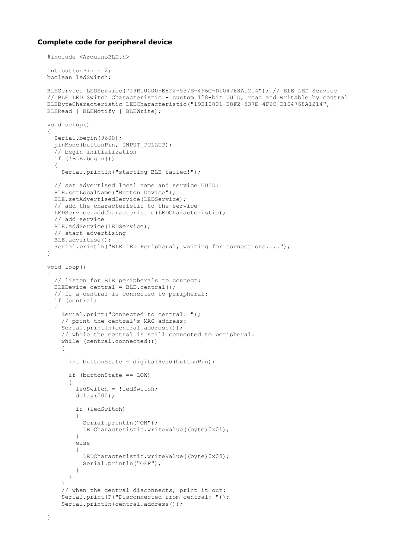#### **Complete code for peripheral device**

```
#include <ArduinoBLE.h>
int buttonPin = 2;
boolean ledSwitch;
BLEService LEDService("19B10000-E8F2-537E-4F6C-D104768A1214"); // BLE LED Service
// BLE LED Switch Characteristic - custom 128-bit UUID, read and writable by central
BLEByteCharacteristic LEDCharacteristic("19B10001-E8F2-537E-4F6C-D104768A1214", 
BLERead | BLENotify | BLEWrite);
void setup() 
{
  Serial.begin(9600);
   pinMode(buttonPin, INPUT_PULLUP);
   // begin initialization
   if (!BLE.begin()) 
   {
     Serial.println("starting BLE failed!");
   }
   // set advertised local name and service UUID:
   BLE.setLocalName("Button Device");
   BLE.setAdvertisedService(LEDService);
   // add the characteristic to the service
   LEDService.addCharacteristic(LEDCharacteristic);
   // add service
   BLE.addService(LEDService);
   // start advertising
   BLE.advertise();
   Serial.println("BLE LED Peripheral, waiting for connections....");
}
void loop() 
{
   // listen for BLE peripherals to connect:
   BLEDevice central = BLE.central();
   // if a central is connected to peripheral:
   if (central) 
\{ Serial.print("Connected to central: ");
     // print the central's MAC address:
    Serial.println(central.address());
     // while the central is still connected to peripheral:
     while (central.connected()) 
\left\{\begin{array}{ccc} & & \\ & & \end{array}\right\}int buttonState = digitalRead(buttonPin) ;
       if (buttonState == LOW) 
\overline{\mathcal{L}} ledSwitch = !ledSwitch;
         delay(500);
         if (ledSwitch) 
         {
            Serial.println("ON");
          LEDCharacteristic.writeValue((byte)0x01);
 }
         else 
         {
          LEDCharacteristic.writeValue((byte)0x00);
           Serial.println("OFF");
         }
       }
     }
     // when the central disconnects, print it out:
    Serial.print(F("Disconnected from central: "));
     Serial.println(central.address());
   }
}
```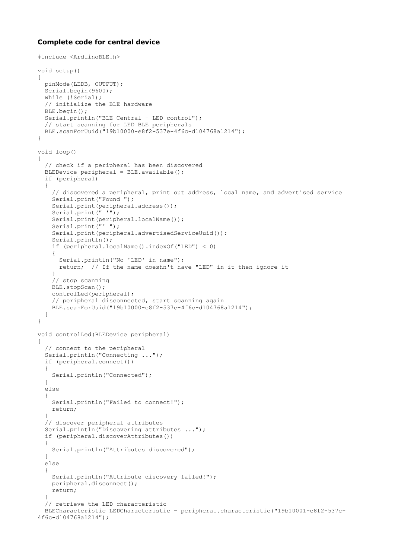#### **Complete code for central device**

```
#include <ArduinoBLE.h>
void setup() 
{
  pinMode(LEDB, OUTPUT);
 Serial.begin(9600);
 while (!Serial);
   // initialize the BLE hardware
  BLE.begin();
 Serial.println("BLE Central - LED control");
   // start scanning for LED BLE peripherals
  BLE.scanForUuid("19b10000-e8f2-537e-4f6c-d104768a1214");
}
void loop() 
{
   // check if a peripheral has been discovered
 BLEDevice peripheral = BLE.available();
   if (peripheral) 
   {
     // discovered a peripheral, print out address, local name, and advertised service
     Serial.print("Found ");
     Serial.print(peripheral.address());
    Serial.print(" '");
     Serial.print(peripheral.localName());
    Serial.print("' ");
    Serial.print(peripheral.advertisedServiceUuid());
     Serial.println();
     if (peripheral.localName().indexOf("LED") < 0) 
\left\{\begin{array}{ccc} & & \\ & & \end{array}\right\} Serial.println("No 'LED' in name");
      return; // If the name doeshn't have "LED" in it then ignore it
 }
     // stop scanning
     BLE.stopScan();
     controlLed(peripheral);
     // peripheral disconnected, start scanning again
     BLE.scanForUuid("19b10000-e8f2-537e-4f6c-d104768a1214");
   }
}
void controlLed(BLEDevice peripheral) 
{
   // connect to the peripheral
  Serial.println("Connecting ...");
  if (peripheral.connect()) 
   {
    Serial.println("Connected");
   } 
   else 
   {
    Serial.println("Failed to connect!");
    return;
   }
   // discover peripheral attributes
   Serial.println("Discovering attributes ...");
   if (peripheral.discoverAttributes()) 
   {
     Serial.println("Attributes discovered");
   } 
   else 
   {
     Serial.println("Attribute discovery failed!");
     peripheral.disconnect();
    return;
   }
   // retrieve the LED characteristic
  BLECharacteristic LEDCharacteristic = peripheral.characteristic("19b10001-e8f2-537e-
4f6c-d104768a1214");
```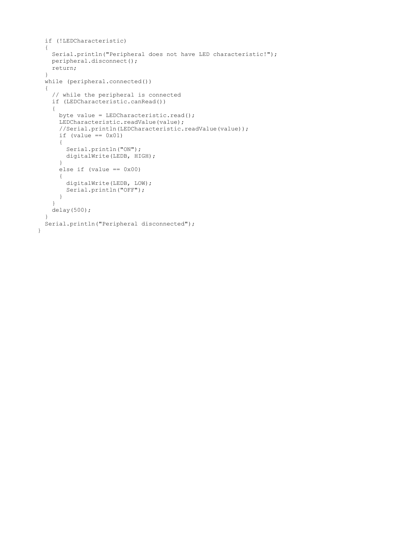```
 if (!LEDCharacteristic) 
  {
    Serial.println("Peripheral does not have LED characteristic!");
    peripheral.disconnect();
    return;
   }
  while (peripheral.connected()) 
  {
     // while the peripheral is connected
    if (LEDCharacteristic.canRead()) 
     {
     byte value = LEDCharacteristic.read();
      LEDCharacteristic.readValue(value);
      //Serial.println(LEDCharacteristic.readValue(value));
     if (value == 0x01)
      {
         Serial.println("ON");
        digitalWrite(LEDB, HIGH);
       }
     else if (value == 0x00)
       {
         digitalWrite(LEDB, LOW);
         Serial.println("OFF");
      }
    }
    delay(500);
  }
  Serial.println("Peripheral disconnected");
}
```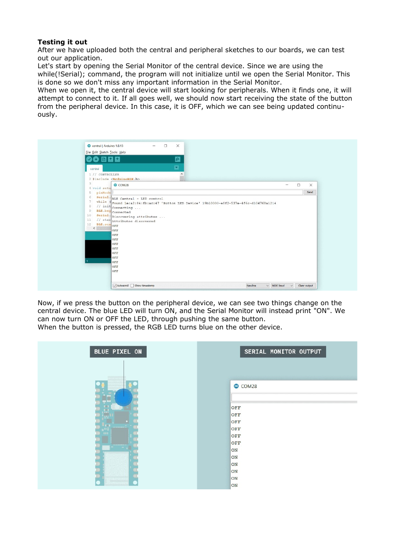## **Testing it out**

After we have uploaded both the central and peripheral sketches to our boards, we can test out our application.

Let's start by opening the Serial Monitor of the central device. Since we are using the while(!Serial); command, the program will not initialize until we open the Serial Monitor. This is done so we don't miss any important information in the Serial Monitor.

When we open it, the central device will start looking for peripherals. When it finds one, it will attempt to connect to it. If all goes well, we should now start receiving the state of the button from the peripheral device. In this case, it is OFF, which we can see being updated continuously.



Now, if we press the button on the peripheral device, we can see two things change on the central device. The blue LED will turn ON, and the Serial Monitor will instead print "ON". We can now turn ON or OFF the LED, through pushing the same button.

When the button is pressed, the RGB LED turns blue on the other device.

| <b>BLUE PIXEL ON</b> | SERIAL MONITOR OUTPUT |
|----------------------|-----------------------|
|                      |                       |
|                      | COM28                 |
| ÷<br><b>Dill</b>     | OFF                   |
| ū,<br>. <b>.</b>     | OFF                   |
|                      | OFF                   |
| m<br>300000000       | OFF                   |
| 0000                 | OFF                   |
| <b>TELESSERIELER</b> | OFF                   |
|                      | ON                    |
|                      | ON                    |
|                      | ON                    |
|                      | ON                    |
|                      | ON                    |
|                      | ON                    |